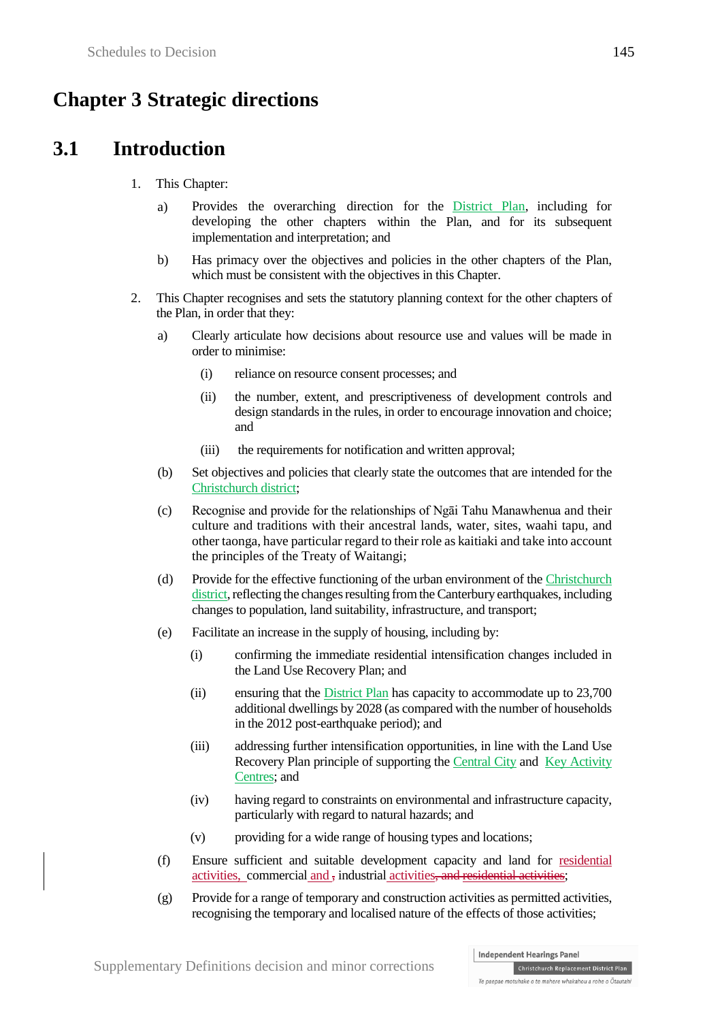# **Chapter 3 Strategic directions**

# **3.1 Introduction**

- 1. This Chapter:
	- a) Provides the overarching direction for the District Plan, including for developing the other chapters within the Plan, and for its subsequent implementation and interpretation; and
	- b) Has primacy over the objectives and policies in the other chapters of the Plan, which must be consistent with the objectives in this Chapter.
- 2. This Chapter recognises and sets the statutory planning context for the other chapters of the Plan, in order that they:
	- a) Clearly articulate how decisions about resource use and values will be made in order to minimise:
		- (i) reliance on resource consent processes; and
		- (ii) the number, extent, and prescriptiveness of development controls and design standards in the rules, in order to encourage innovation and choice; and
		- (iii) the requirements for notification and written approval;
	- (b) Set objectives and policies that clearly state the outcomes that are intended for the Christchurch district;
	- (c) Recognise and provide for the relationships of Ngāi Tahu Manawhenua and their culture and traditions with their ancestral lands, water, sites, waahi tapu, and other taonga, have particular regard to their role as kaitiaki and take into account the principles of the Treaty of Waitangi;
	- (d) Provide for the effective functioning of the urban environment of the Christchurch district, reflecting the changes resulting from the Canterbury earthquakes, including changes to population, land suitability, infrastructure, and transport;
	- (e) Facilitate an increase in the supply of housing, including by:
		- (i) confirming the immediate residential intensification changes included in the Land Use Recovery Plan; and
		- (ii) ensuring that the District Plan has capacity to accommodate up to 23,700 additional dwellings by 2028 (as compared with the number of households in the 2012 post-earthquake period); and
		- (iii) addressing further intensification opportunities, in line with the Land Use Recovery Plan principle of supporting the Central City and Key Activity Centres; and
		- (iv) having regard to constraints on environmental and infrastructure capacity, particularly with regard to natural hazards; and
		- (v) providing for a wide range of housing types and locations;
	- (f) Ensure sufficient and suitable development capacity and land for residential activities, commercial and , industrial activities, and residential activities;
	- (g) Provide for a range of temporary and construction activities as permitted activities, recognising the temporary and localised nature of the effects of those activities;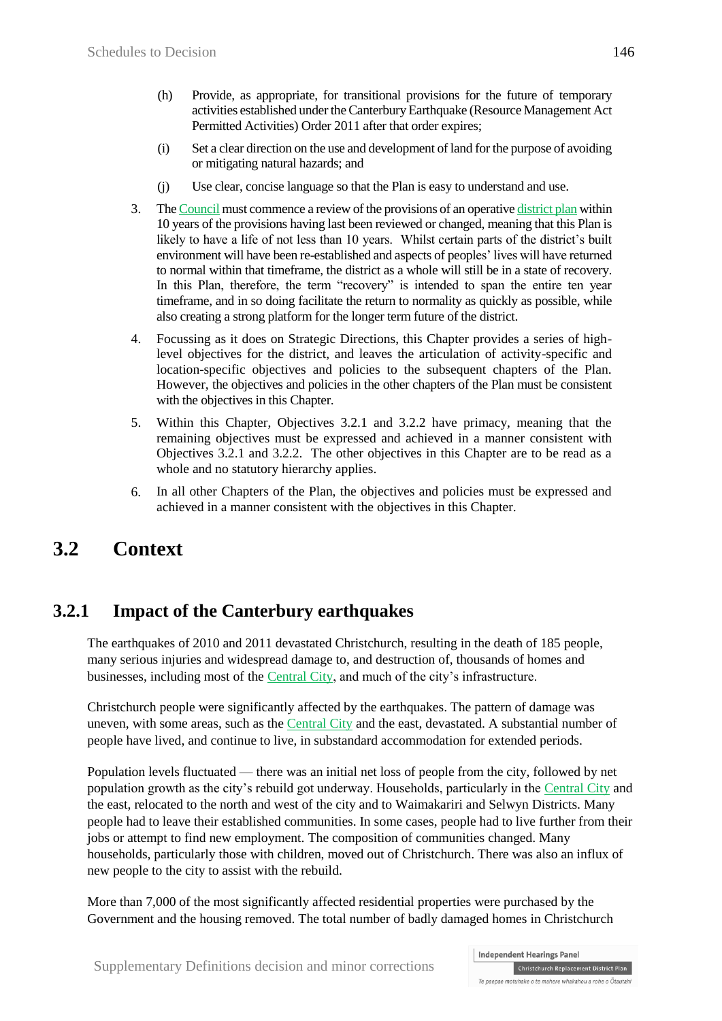- (h) Provide, as appropriate, for transitional provisions for the future of temporary activities established under the Canterbury Earthquake (Resource Management Act Permitted Activities) Order 2011 after that order expires;
- (i) Set a clear direction on the use and development of land for the purpose of avoiding or mitigating natural hazards; and
- (j) Use clear, concise language so that the Plan is easy to understand and use.
- 3. The Council must commence a review of the provisions of an operative district plan within 10 years of the provisions having last been reviewed or changed, meaning that this Plan is likely to have a life of not less than 10 years. Whilst certain parts of the district's built environment will have been re-established and aspects of peoples' lives will have returned to normal within that timeframe, the district as a whole will still be in a state of recovery. In this Plan, therefore, the term "recovery" is intended to span the entire ten year timeframe, and in so doing facilitate the return to normality as quickly as possible, while also creating a strong platform for the longer term future of the district.
- 4. Focussing as it does on Strategic Directions, this Chapter provides a series of highlevel objectives for the district, and leaves the articulation of activity-specific and location-specific objectives and policies to the subsequent chapters of the Plan. However, the objectives and policies in the other chapters of the Plan must be consistent with the objectives in this Chapter.
- 5. Within this Chapter, Objectives 3.2.1 and 3.2.2 have primacy, meaning that the remaining objectives must be expressed and achieved in a manner consistent with Objectives 3.2.1 and 3.2.2. The other objectives in this Chapter are to be read as a whole and no statutory hierarchy applies.
- 6. In all other Chapters of the Plan, the objectives and policies must be expressed and achieved in a manner consistent with the objectives in this Chapter.

# **3.2 Context**

# **3.2.1 Impact of the Canterbury earthquakes**

The earthquakes of 2010 and 2011 devastated Christchurch, resulting in the death of 185 people, many serious injuries and widespread damage to, and destruction of, thousands of homes and businesses, including most of the Central City, and much of the city's infrastructure.

Christchurch people were significantly affected by the earthquakes. The pattern of damage was uneven, with some areas, such as the Central City and the east, devastated. A substantial number of people have lived, and continue to live, in substandard accommodation for extended periods.

Population levels fluctuated — there was an initial net loss of people from the city, followed by net population growth as the city's rebuild got underway. Households, particularly in the Central City and the east, relocated to the north and west of the city and to Waimakariri and Selwyn Districts. Many people had to leave their established communities. In some cases, people had to live further from their jobs or attempt to find new employment. The composition of communities changed. Many households, particularly those with children, moved out of Christchurch. There was also an influx of new people to the city to assist with the rebuild.

More than 7,000 of the most significantly affected residential properties were purchased by the Government and the housing removed. The total number of badly damaged homes in Christchurch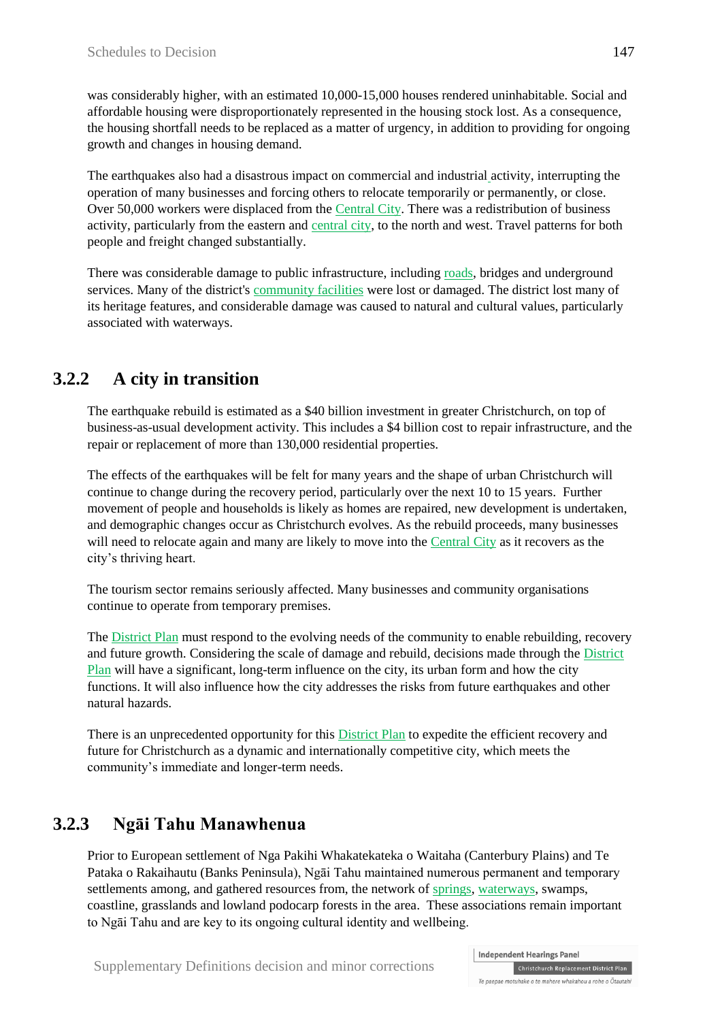was considerably higher, with an estimated 10,000-15,000 houses rendered uninhabitable. Social and affordable housing were disproportionately represented in the housing stock lost. As a consequence, the housing shortfall needs to be replaced as a matter of urgency, in addition to providing for ongoing growth and changes in housing demand.

The earthquakes also had a disastrous impact on commercial and industrial activity, interrupting the operation of many businesses and forcing others to relocate temporarily or permanently, or close. Over 50,000 workers were displaced from the Central City. There was a redistribution of business activity, particularly from the eastern and central city, to the north and west. Travel patterns for both people and freight changed substantially.

There was considerable damage to public infrastructure, including roads, bridges and underground services. Many of the district's community facilities were lost or damaged. The district lost many of its heritage features, and considerable damage was caused to natural and cultural values, particularly associated with waterways.

# **3.2.2 A city in transition**

The earthquake rebuild is estimated as a \$40 billion investment in greater Christchurch, on top of business-as-usual development activity. This includes a \$4 billion cost to repair infrastructure, and the repair or replacement of more than 130,000 residential properties.

The effects of the earthquakes will be felt for many years and the shape of urban Christchurch will continue to change during the recovery period, particularly over the next 10 to 15 years. Further movement of people and households is likely as homes are repaired, new development is undertaken, and demographic changes occur as Christchurch evolves. As the rebuild proceeds, many businesses will need to relocate again and many are likely to move into the Central City as it recovers as the city's thriving heart.

The tourism sector remains seriously affected. Many businesses and community organisations continue to operate from temporary premises.

The District Plan must respond to the evolving needs of the community to enable rebuilding, recovery and future growth. Considering the scale of damage and rebuild, decisions made through the District Plan will have a significant, long-term influence on the city, its urban form and how the city functions. It will also influence how the city addresses the risks from future earthquakes and other natural hazards.

There is an unprecedented opportunity for this District Plan to expedite the efficient recovery and future for Christchurch as a dynamic and internationally competitive city, which meets the community's immediate and longer-term needs.

# **3.2.3 Ngāi Tahu Manawhenua**

Prior to European settlement of Nga Pakihi Whakatekateka o Waitaha (Canterbury Plains) and Te Pataka o Rakaihautu (Banks Peninsula), Ngāi Tahu maintained numerous permanent and temporary settlements among, and gathered resources from, the network of springs, waterways, swamps, coastline, grasslands and lowland podocarp forests in the area. These associations remain important to Ngāi Tahu and are key to its ongoing cultural identity and wellbeing.

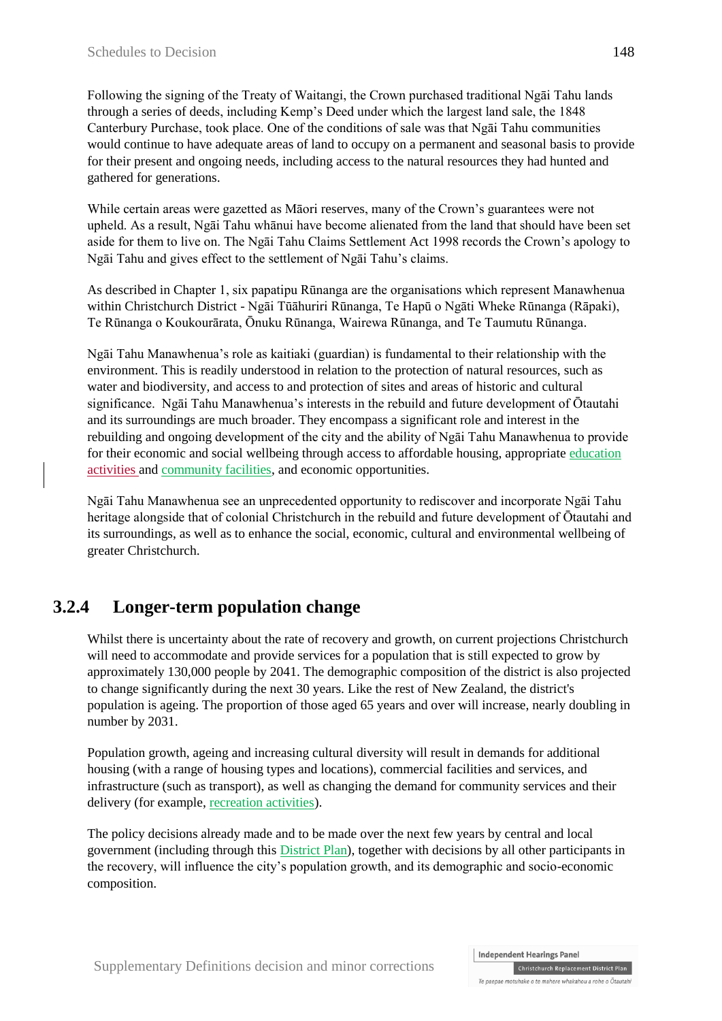Following the signing of the Treaty of Waitangi, the Crown purchased traditional Ngāi Tahu lands through a series of deeds, including Kemp's Deed under which the largest land sale, the 1848 Canterbury Purchase, took place. One of the conditions of sale was that Ngāi Tahu communities would continue to have adequate areas of land to occupy on a permanent and seasonal basis to provide for their present and ongoing needs, including access to the natural resources they had hunted and gathered for generations.

While certain areas were gazetted as Māori reserves, many of the Crown's guarantees were not upheld. As a result, Ngāi Tahu whānui have become alienated from the land that should have been set aside for them to live on. The Ngāi Tahu Claims Settlement Act 1998 records the Crown's apology to Ngāi Tahu and gives effect to the settlement of Ngāi Tahu's claims.

As described in Chapter 1, six papatipu Rūnanga are the organisations which represent Manawhenua within Christchurch District - Ngāi Tūāhuriri Rūnanga, Te Hapū o Ngāti Wheke Rūnanga (Rāpaki), Te Rūnanga o Koukourārata, Ōnuku Rūnanga, Wairewa Rūnanga, and Te Taumutu Rūnanga.

Ngāi Tahu Manawhenua's role as kaitiaki (guardian) is fundamental to their relationship with the environment. This is readily understood in relation to the protection of natural resources, such as water and biodiversity, and access to and protection of sites and areas of historic and cultural significance. Ngāi Tahu Manawhenua's interests in the rebuild and future development of Ōtautahi and its surroundings are much broader. They encompass a significant role and interest in the rebuilding and ongoing development of the city and the ability of Ngāi Tahu Manawhenua to provide for their economic and social wellbeing through access to affordable housing, appropriate education activities and community facilities, and economic opportunities.

Ngāi Tahu Manawhenua see an unprecedented opportunity to rediscover and incorporate Ngāi Tahu heritage alongside that of colonial Christchurch in the rebuild and future development of Ōtautahi and its surroundings, as well as to enhance the social, economic, cultural and environmental wellbeing of greater Christchurch.

# **3.2.4 Longer-term population change**

Whilst there is uncertainty about the rate of recovery and growth, on current projections Christchurch will need to accommodate and provide services for a population that is still expected to grow by approximately 130,000 people by 2041. The demographic composition of the district is also projected to change significantly during the next 30 years. Like the rest of New Zealand, the district's population is ageing. The proportion of those aged 65 years and over will increase, nearly doubling in number by 2031.

Population growth, ageing and increasing cultural diversity will result in demands for additional housing (with a range of housing types and locations), commercial facilities and services, and infrastructure (such as transport), as well as changing the demand for community services and their delivery (for example, recreation activities).

The policy decisions already made and to be made over the next few years by central and local government (including through this District Plan), together with decisions by all other participants in the recovery, will influence the city's population growth, and its demographic and socio-economic composition.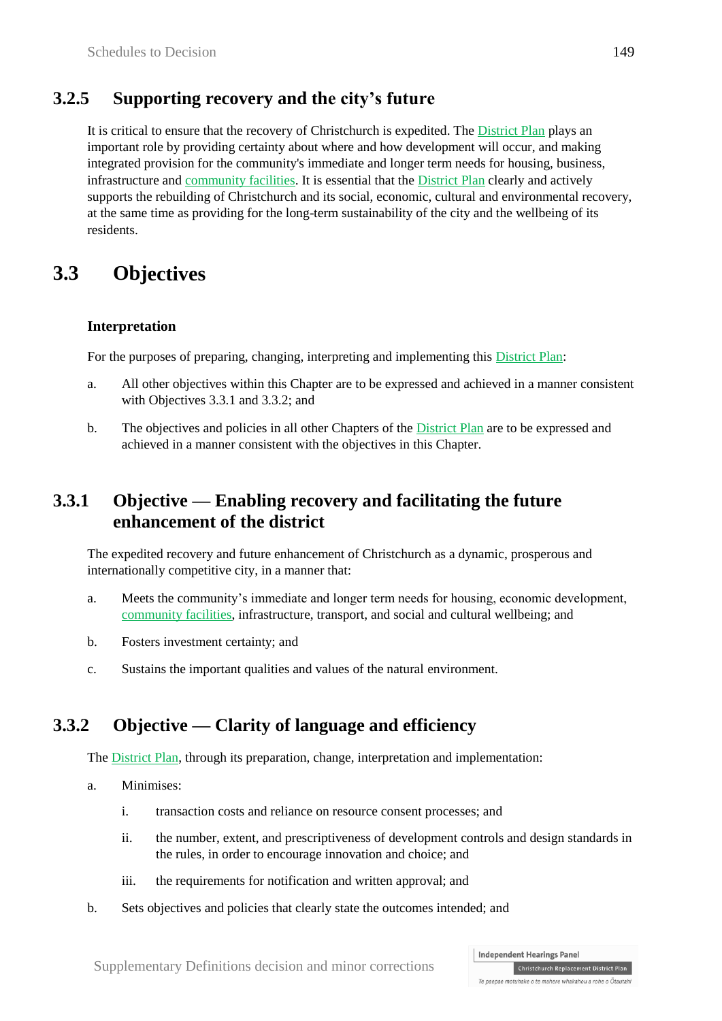### **3.2.5 Supporting recovery and the city's future**

It is critical to ensure that the recovery of Christchurch is expedited. The District Plan plays an important role by providing certainty about where and how development will occur, and making integrated provision for the community's immediate and longer term needs for housing, business, infrastructure and community facilities. It is essential that the District Plan clearly and actively supports the rebuilding of Christchurch and its social, economic, cultural and environmental recovery, at the same time as providing for the long-term sustainability of the city and the wellbeing of its residents.

# **3.3 Objectives**

#### **Interpretation**

For the purposes of preparing, changing, interpreting and implementing this District Plan:

- a. All other objectives within this Chapter are to be expressed and achieved in a manner consistent with Objectives 3.3.1 and 3.3.2; and
- b. The objectives and policies in all other Chapters of the District Plan are to be expressed and achieved in a manner consistent with the objectives in this Chapter.

### **3.3.1 Objective — Enabling recovery and facilitating the future enhancement of the district**

The expedited recovery and future enhancement of Christchurch as a dynamic, prosperous and internationally competitive city, in a manner that:

- a. Meets the community's immediate and longer term needs for housing, economic development, community facilities, infrastructure, transport, and social and cultural wellbeing; and
- b. Fosters investment certainty; and
- c. Sustains the important qualities and values of the natural environment.

### **3.3.2 Objective — Clarity of language and efficiency**

The District Plan, through its preparation, change, interpretation and implementation:

- a. Minimises:
	- i. transaction costs and reliance on resource consent processes; and
	- ii. the number, extent, and prescriptiveness of development controls and design standards in the rules, in order to encourage innovation and choice; and
	- iii. the requirements for notification and written approval; and
- b. Sets objectives and policies that clearly state the outcomes intended; and

**Independent Hearings Panel** Christchurch Replacement District Plan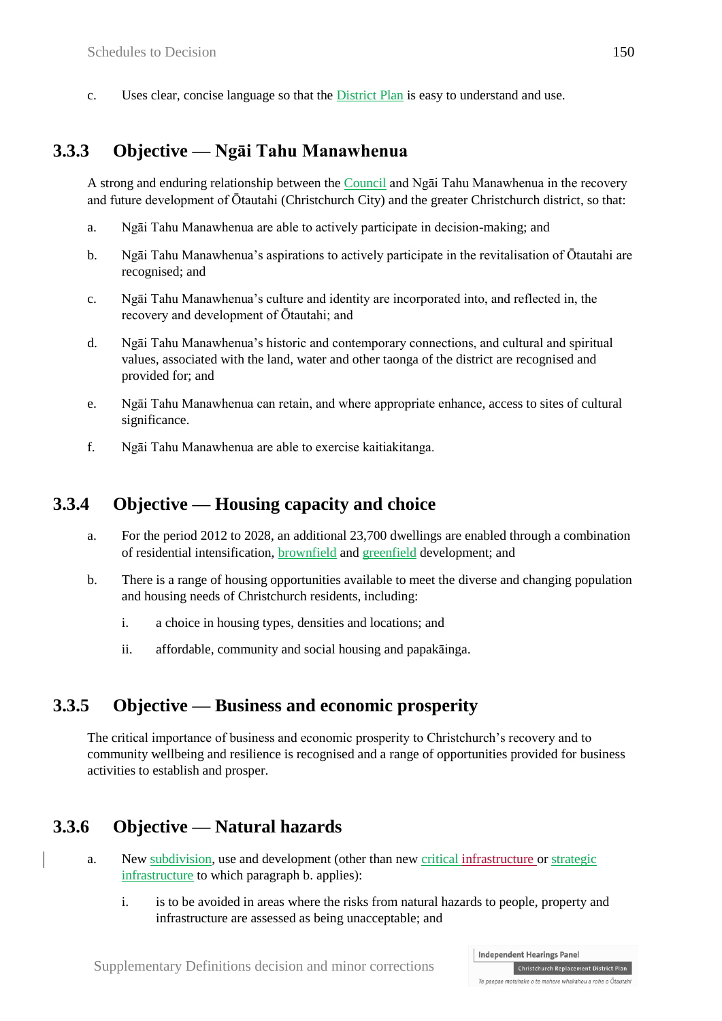c. Uses clear, concise language so that the District Plan is easy to understand and use.

### **3.3.3 Objective — Ngāi Tahu Manawhenua**

A strong and enduring relationship between the Council and Ngāi Tahu Manawhenua in the recovery and future development of Ōtautahi (Christchurch City) and the greater Christchurch district, so that:

- a. Ngāi Tahu Manawhenua are able to actively participate in decision-making; and
- b. Ngāi Tahu Manawhenua's aspirations to actively participate in the revitalisation of Ōtautahi are recognised; and
- c. Ngāi Tahu Manawhenua's culture and identity are incorporated into, and reflected in, the recovery and development of Ōtautahi; and
- d. Ngāi Tahu Manawhenua's historic and contemporary connections, and cultural and spiritual values, associated with the land, water and other taonga of the district are recognised and provided for; and
- e. Ngāi Tahu Manawhenua can retain, and where appropriate enhance, access to sites of cultural significance.
- f. Ngāi Tahu Manawhenua are able to exercise kaitiakitanga.

#### **3.3.4 Objective — Housing capacity and choice**

- a. For the period 2012 to 2028, an additional 23,700 dwellings are enabled through a combination of residential intensification, brownfield and greenfield development; and
- b. There is a range of housing opportunities available to meet the diverse and changing population and housing needs of Christchurch residents, including:
	- i. a choice in housing types, densities and locations; and
	- ii. affordable, community and social housing and papakāinga.

#### **3.3.5 Objective — Business and economic prosperity**

The critical importance of business and economic prosperity to Christchurch's recovery and to community wellbeing and resilience is recognised and a range of opportunities provided for business activities to establish and prosper.

#### **3.3.6 Objective — Natural hazards**

- a. New subdivision, use and development (other than new critical infrastructure or strategic infrastructure to which paragraph b. applies):
	- i. is to be avoided in areas where the risks from natural hazards to people, property and infrastructure are assessed as being unacceptable; and

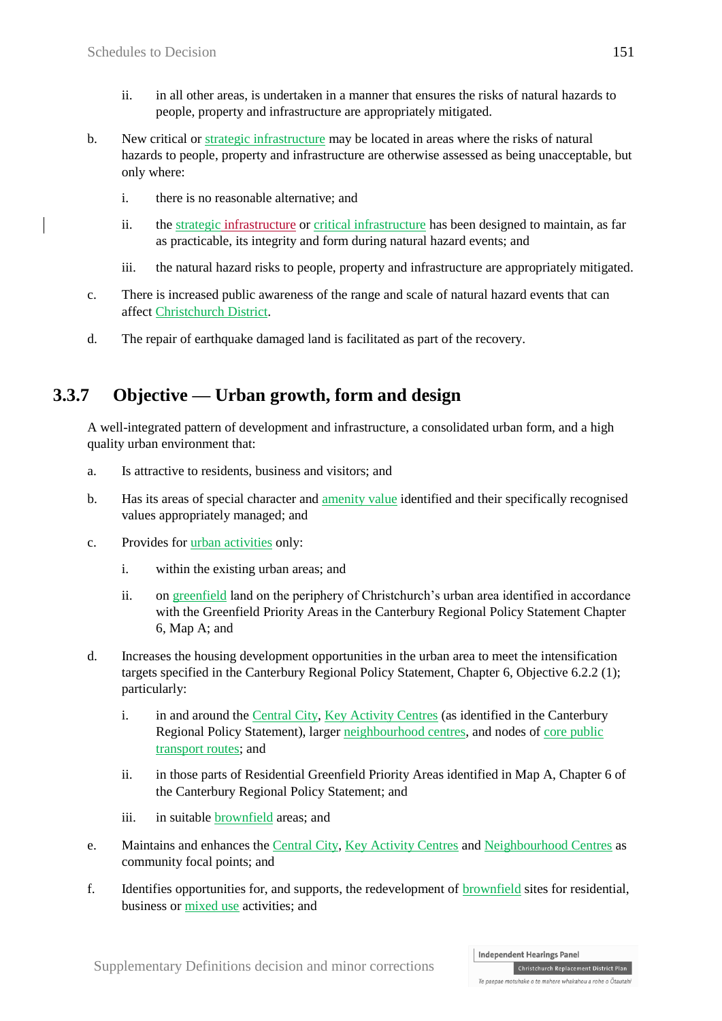- ii. in all other areas, is undertaken in a manner that ensures the risks of natural hazards to people, property and infrastructure are appropriately mitigated.
- b. New critical or strategic infrastructure may be located in areas where the risks of natural hazards to people, property and infrastructure are otherwise assessed as being unacceptable, but only where:
	- i. there is no reasonable alternative; and
	- ii. the strategic infrastructure or critical infrastructure has been designed to maintain, as far as practicable, its integrity and form during natural hazard events; and
	- iii. the natural hazard risks to people, property and infrastructure are appropriately mitigated.
- c. There is increased public awareness of the range and scale of natural hazard events that can affect Christchurch District.
- d. The repair of earthquake damaged land is facilitated as part of the recovery.

# **3.3.7 Objective — Urban growth, form and design**

A well-integrated pattern of development and infrastructure, a consolidated urban form, and a high quality urban environment that:

- a. Is attractive to residents, business and visitors; and
- b. Has its areas of special character and amenity value identified and their specifically recognised values appropriately managed; and
- c. Provides for urban activities only:
	- i. within the existing urban areas; and
	- ii. on greenfield land on the periphery of Christchurch's urban area identified in accordance with the Greenfield Priority Areas in the Canterbury Regional Policy Statement Chapter 6, Map A; and
- d. Increases the housing development opportunities in the urban area to meet the intensification targets specified in the Canterbury Regional Policy Statement, Chapter 6, Objective 6.2.2 (1); particularly:
	- i. in and around the Central City, Key Activity Centres (as identified in the Canterbury Regional Policy Statement), larger neighbourhood centres, and nodes of core public transport routes; and
	- ii. in those parts of Residential Greenfield Priority Areas identified in Map A, Chapter 6 of the Canterbury Regional Policy Statement; and
	- iii. in suitable brownfield areas; and
- e. Maintains and enhances the Central City, Key Activity Centres and Neighbourhood Centres as community focal points; and
- f. Identifies opportunities for, and supports, the redevelopment of brownfield sites for residential, business or mixed use activities; and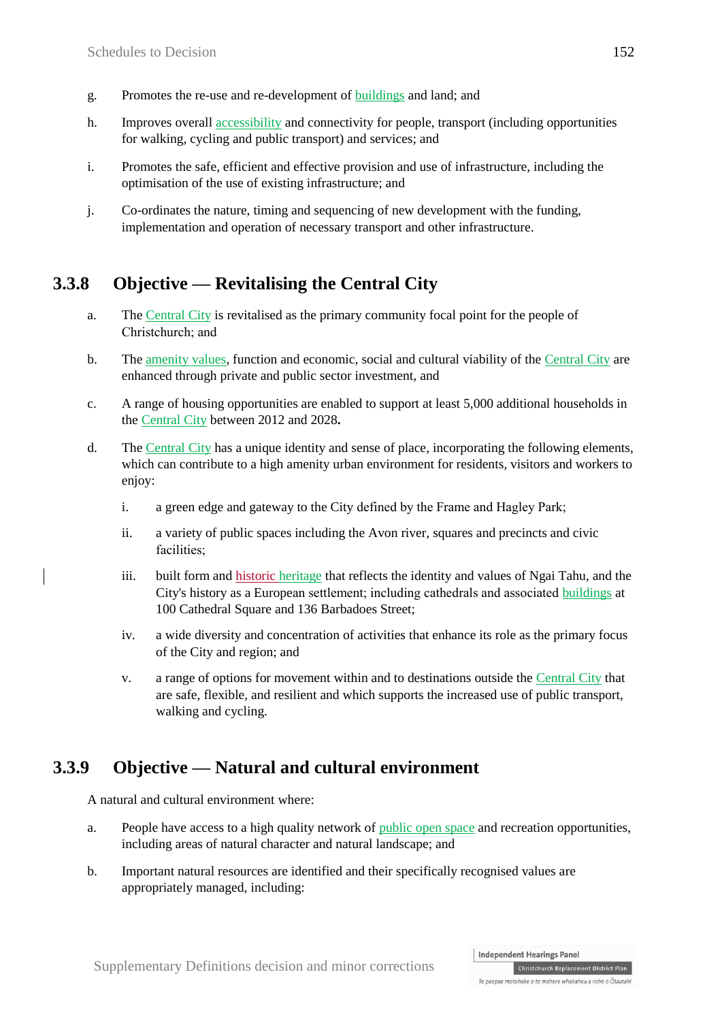- g. Promotes the re-use and re-development of buildings and land; and
- h. Improves overall accessibility and connectivity for people, transport (including opportunities for walking, cycling and public transport) and services; and
- i. Promotes the safe, efficient and effective provision and use of infrastructure, including the optimisation of the use of existing infrastructure; and
- j. Co-ordinates the nature, timing and sequencing of new development with the funding, implementation and operation of necessary transport and other infrastructure.

### **3.3.8 Objective — Revitalising the Central City**

- a. The Central City is revitalised as the primary community focal point for the people of Christchurch; and
- b. The amenity values, function and economic, social and cultural viability of the Central City are enhanced through private and public sector investment, and
- c. A range of housing opportunities are enabled to support at least 5,000 additional households in the Central City between 2012 and 2028**.**
- d. The Central City has a unique identity and sense of place, incorporating the following elements, which can contribute to a high amenity urban environment for residents, visitors and workers to enjoy:
	- i. a green edge and gateway to the City defined by the Frame and Hagley Park;
	- ii. a variety of public spaces including the Avon river, squares and precincts and civic facilities;
	- iii. built form and historic heritage that reflects the identity and values of Ngai Tahu, and the City's history as a European settlement; including cathedrals and associated buildings at 100 Cathedral Square and 136 Barbadoes Street;
	- iv. a wide diversity and concentration of activities that enhance its role as the primary focus of the City and region; and
	- v. a range of options for movement within and to destinations outside the Central City that are safe, flexible, and resilient and which supports the increased use of public transport, walking and cycling.

#### **3.3.9 Objective — Natural and cultural environment**

A natural and cultural environment where:

- a. People have access to a high quality network of public open space and recreation opportunities, including areas of natural character and natural landscape; and
- b. Important natural resources are identified and their specifically recognised values are appropriately managed, including:

#### **Independent Hearings Panel** Christchurch Replacement District Plan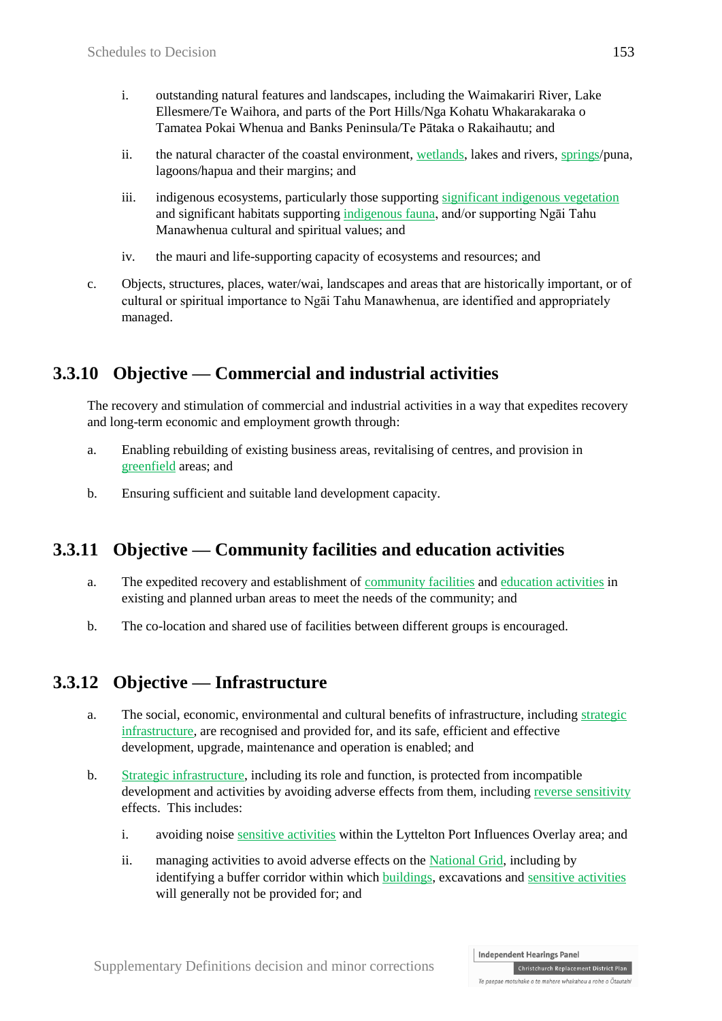- i. outstanding natural features and landscapes, including the Waimakariri River, Lake Ellesmere/Te Waihora, and parts of the Port Hills/Nga Kohatu Whakarakaraka o Tamatea Pokai Whenua and Banks Peninsula/Te Pātaka o Rakaihautu; and
- ii. the natural character of the coastal environment, wetlands, lakes and rivers, springs/puna, lagoons/hapua and their margins; and
- iii. indigenous ecosystems, particularly those supporting significant indigenous vegetation and significant habitats supporting indigenous fauna, and/or supporting Ngāi Tahu Manawhenua cultural and spiritual values; and
- iv. the mauri and life-supporting capacity of ecosystems and resources; and
- c. Objects, structures, places, water/wai, landscapes and areas that are historically important, or of cultural or spiritual importance to Ngāi Tahu Manawhenua, are identified and appropriately managed.

# **3.3.10 Objective — Commercial and industrial activities**

The recovery and stimulation of commercial and industrial activities in a way that expedites recovery and long-term economic and employment growth through:

- a. Enabling rebuilding of existing business areas, revitalising of centres, and provision in greenfield areas; and
- b. Ensuring sufficient and suitable land development capacity.

# **3.3.11 Objective — Community facilities and education activities**

- a. The expedited recovery and establishment of community facilities and education activities in existing and planned urban areas to meet the needs of the community; and
- b. The co-location and shared use of facilities between different groups is encouraged.

# **3.3.12 Objective — Infrastructure**

- a. The social, economic, environmental and cultural benefits of infrastructure, including strategic infrastructure, are recognised and provided for, and its safe, efficient and effective development, upgrade, maintenance and operation is enabled; and
- b. Strategic infrastructure, including its role and function, is protected from incompatible development and activities by avoiding adverse effects from them, including reverse sensitivity effects. This includes:
	- i. avoiding noise sensitive activities within the Lyttelton Port Influences Overlay area; and
	- ii. managing activities to avoid adverse effects on the National Grid, including by identifying a buffer corridor within which buildings, excavations and sensitive activities will generally not be provided for; and

**Independent Hearings Panel** Christchurch Replacement District Plan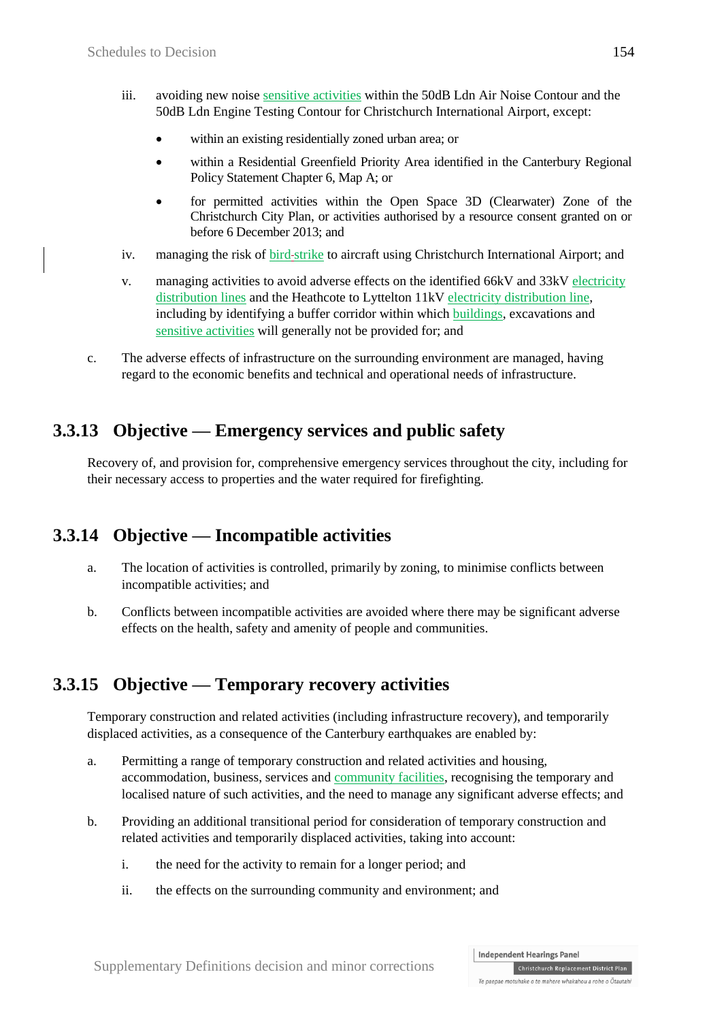- iii. avoiding new noise sensitive activities within the 50dB Ldn Air Noise Contour and the 50dB Ldn Engine Testing Contour for Christchurch International Airport, except:
	- within an existing residentially zoned urban area; or
	- within a Residential Greenfield Priority Area identified in the Canterbury Regional Policy Statement Chapter 6, Map A; or
	- for permitted activities within the Open Space 3D (Clearwater) Zone of the Christchurch City Plan, or activities authorised by a resource consent granted on or before 6 December 2013; and
- iv. managing the risk of bird-strike to aircraft using Christchurch International Airport; and
- v. managing activities to avoid adverse effects on the identified 66kV and 33kV electricity distribution lines and the Heathcote to Lyttelton 11kV electricity distribution line, including by identifying a buffer corridor within which buildings, excavations and sensitive activities will generally not be provided for; and
- c. The adverse effects of infrastructure on the surrounding environment are managed, having regard to the economic benefits and technical and operational needs of infrastructure.

#### **3.3.13 Objective — Emergency services and public safety**

Recovery of, and provision for, comprehensive emergency services throughout the city, including for their necessary access to properties and the water required for firefighting.

#### **3.3.14 Objective — Incompatible activities**

- a. The location of activities is controlled, primarily by zoning, to minimise conflicts between incompatible activities; and
- b. Conflicts between incompatible activities are avoided where there may be significant adverse effects on the health, safety and amenity of people and communities.

# **3.3.15 Objective — Temporary recovery activities**

Temporary construction and related activities (including infrastructure recovery), and temporarily displaced activities, as a consequence of the Canterbury earthquakes are enabled by:

- a. Permitting a range of temporary construction and related activities and housing, accommodation, business, services and community facilities, recognising the temporary and localised nature of such activities, and the need to manage any significant adverse effects; and
- b. Providing an additional transitional period for consideration of temporary construction and related activities and temporarily displaced activities, taking into account:
	- i. the need for the activity to remain for a longer period; and
	- ii. the effects on the surrounding community and environment; and